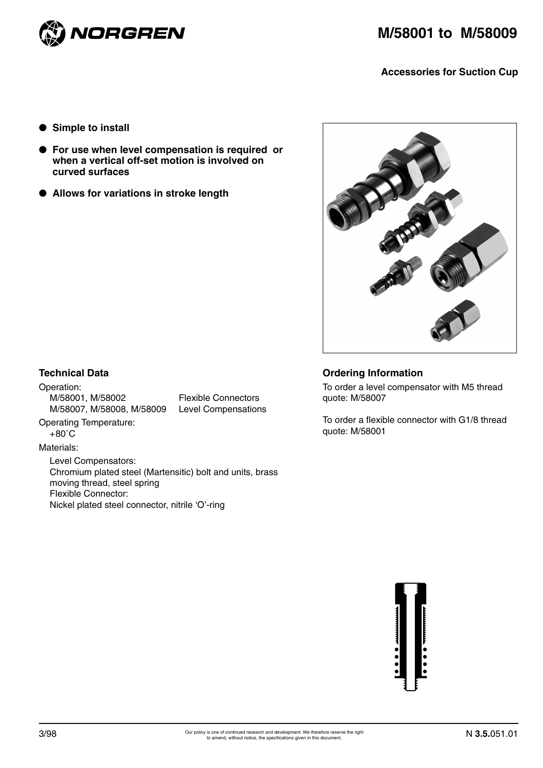

**Accessories for Suction Cup** 

- **Simple to install**
- **For use when level compensation is required or when a vertical off-set motion is involved on curved surfaces**
- **Allows for variations in stroke length**



## **Technical Data**

Operation: M/58001, M/58002 Flexible Connectors M/58007, M/58008, M/58009 Level Compensations

Operating Temperature:  $+80^{\circ}$ C

#### Materials:

Level Compensators: Chromium plated steel (Martensitic) bolt and units, brass moving thread, steel spring Flexible Connector: Nickel plated steel connector, nitrile 'O'-ring

# **Ordering Information**

To order a level compensator with M5 thread quote: M/58007

To order a flexible connector with G1/8 thread quote: M/58001